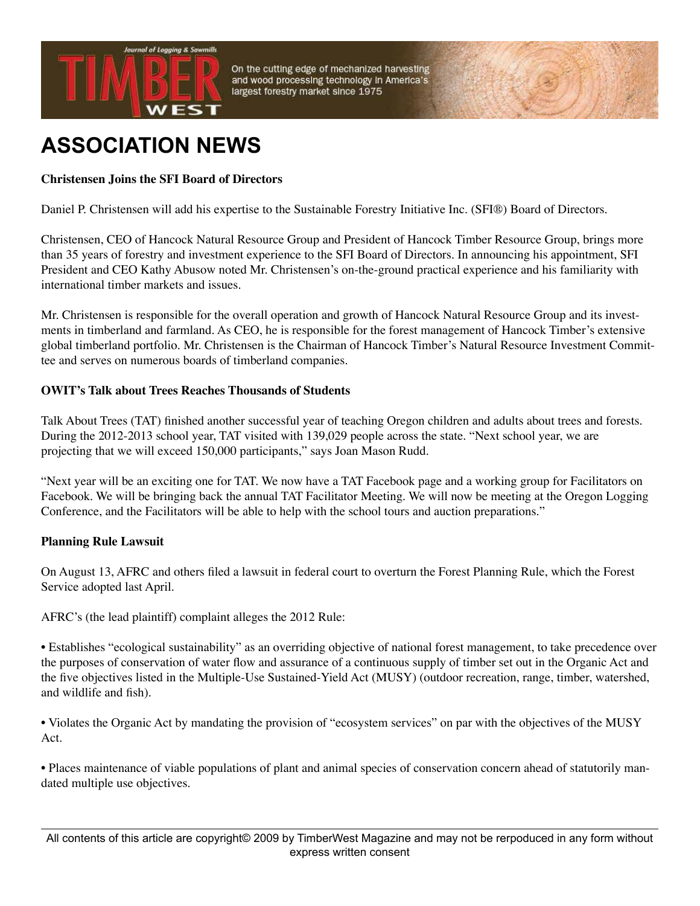

On the cutting edge of mechanized harvesting and wood processing technology in America's largest forestry market since 1975

# **ASSOCIATION NEWS**

### **Christensen Joins the SFI Board of Directors**

Daniel P. Christensen will add his expertise to the Sustainable Forestry Initiative Inc. (SFI®) Board of Directors.

Christensen, CEO of Hancock Natural Resource Group and President of Hancock Timber Resource Group, brings more than 35 years of forestry and investment experience to the SFI Board of Directors. In announcing his appointment, SFI President and CEO Kathy Abusow noted Mr. Christensen's on-the-ground practical experience and his familiarity with international timber markets and issues.

Mr. Christensen is responsible for the overall operation and growth of Hancock Natural Resource Group and its investments in timberland and farmland. As CEO, he is responsible for the forest management of Hancock Timber's extensive global timberland portfolio. Mr. Christensen is the Chairman of Hancock Timber's Natural Resource Investment Committee and serves on numerous boards of timberland companies.

#### **OWIT's Talk about Trees Reaches Thousands of Students**

Talk About Trees (TAT) finished another successful year of teaching Oregon children and adults about trees and forests. During the 2012-2013 school year, TAT visited with 139,029 people across the state. "Next school year, we are projecting that we will exceed 150,000 participants," says Joan Mason Rudd.

"Next year will be an exciting one for TAT. We now have a TAT Facebook page and a working group for Facilitators on Facebook. We will be bringing back the annual TAT Facilitator Meeting. We will now be meeting at the Oregon Logging Conference, and the Facilitators will be able to help with the school tours and auction preparations."

#### **Planning Rule Lawsuit**

On August 13, AFRC and others filed a lawsuit in federal court to overturn the Forest Planning Rule, which the Forest Service adopted last April.

AFRC's (the lead plaintiff) complaint alleges the 2012 Rule:

• Establishes "ecological sustainability" as an overriding objective of national forest management, to take precedence over the purposes of conservation of water flow and assurance of a continuous supply of timber set out in the Organic Act and the five objectives listed in the Multiple-Use Sustained-Yield Act (MUSY) (outdoor recreation, range, timber, watershed, and wildlife and fish).

• Violates the Organic Act by mandating the provision of "ecosystem services" on par with the objectives of the MUSY Act.

• Places maintenance of viable populations of plant and animal species of conservation concern ahead of statutorily mandated multiple use objectives.